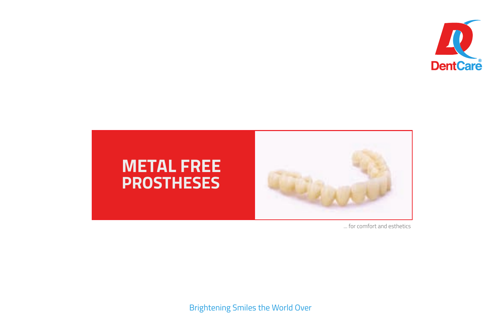



... for comfort and esthetics

Brightening Smiles the World Over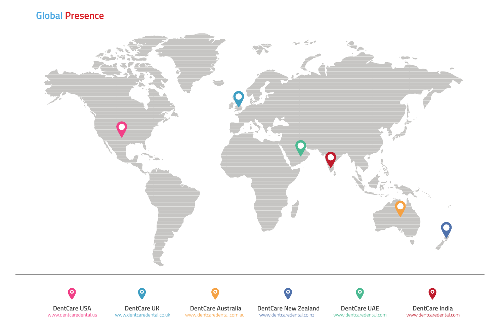#### **Global Presence**



**DentCare USA** www.dentcaredental.us

c

**DentCare UK** www.dentcaredental.co.uk

c

**DentCare Australia** www.dentcaredental.com.au **DentCare New Zealand** www.dentcaredental.co.nz

٠o

**DentCare UAE** www.dentcaredental.com

 $\Omega$ 

**DentCare India** www.dentcaredental.com

 $\bullet$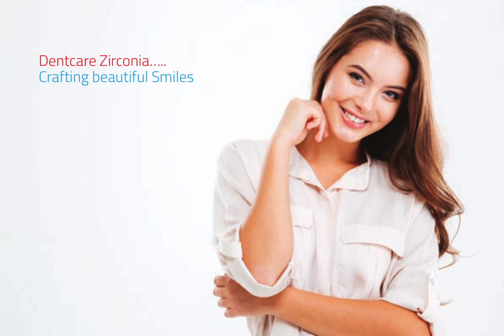Dentcare Zirconia….. Crafting beautiful Smiles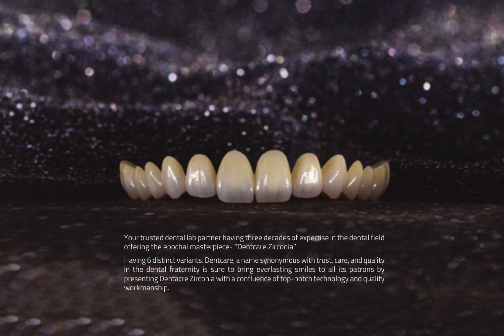Your trusted dental lab partner having three decades of expertise in the dental field offering the epochal masterpiece- "Dentcare Zirconia"

Having 6 distinct variants. Dentcare, a name synonymous with trust, care, and quality in the dental fraternity is sure to bring everlasting smiles to all its patrons by presenting Dentacre Zirconia with a confluence of top-notch technology and quality workmanship.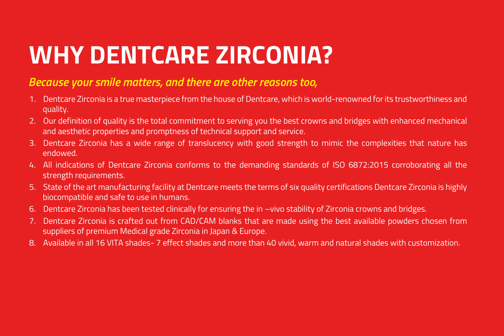## **WHY DENTCARE ZIRCONIA?**

#### *Because your smile matters, and there are other reasons too,*

- 1. Dentcare Zirconia is a true masterpiece from the house of Dentcare, which is world-renowned for its trustworthiness and quality.
- 2. Our definition of quality is the total commitment to serving you the best crowns and bridges with enhanced mechanical and aesthetic properties and promptness of technical support and service.
- 3. Dentcare Zirconia has a wide range of translucency with good strength to mimic the complexities that nature has endowed.
- 4. All indications of Dentcare Zirconia conforms to the demanding standards of ISO 6872:2015 corroborating all the strength requirements.
- 5. State of the art manufacturing facility at Dentcare meets the terms of six quality certifications Dentcare Zirconia is highly biocompatible and safe to use in humans.
- 6. Dentcare Zirconia has been tested clinically for ensuring the in –vivo stability of Zirconia crowns and bridges.
- 7. Dentcare Zirconia is crafted out from CAD/CAM blanks that are made using the best available powders chosen from suppliers of premium Medical grade Zirconia in Japan & Europe.
- 8. Available in all 16 VITA shades- 7 effect shades and more than 40 vivid, warm and natural shades with customization.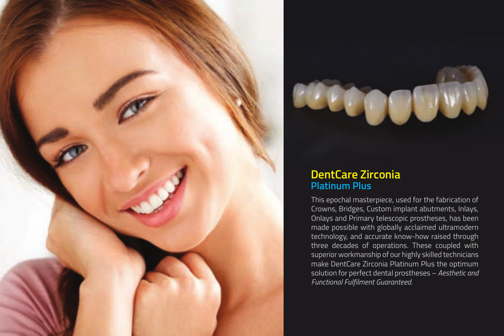



#### **DentCare Zirconia Platinum Plus**

This epochal masterpiece, used for the fabrication of Crowns, Bridges, Custom implant abutments, Inlays, Onlays and Primary telescopic prostheses, has been made possible with globally acclaimed ultramodern technology, and accurate know-how raised through three decades of operations. These coupled with superior workmanship of our highly skilled technicians make DentCare Zirconia Platinum Plus the optimum solution for perfect dental prostheses – *Aesthetic and Functional Fulfilment Guaranteed.*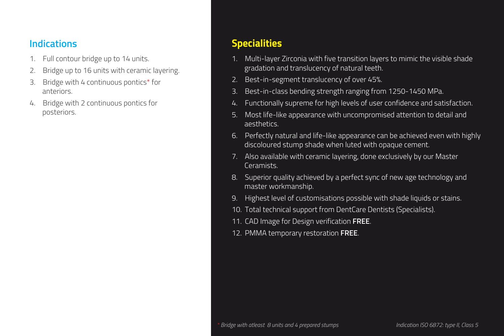- 1. Full contour bridge up to 14 units.
- 2. Bridge up to 16 units with ceramic layering.
- Bridge with 4 continuous pontics\* for anteriors.
- 4. Bridge with 2 continuous pontics for posteriors.

## **Indications Specialities**

- 1. Multi-layer Zirconia with five transition layers to mimic the visible shade gradation and translucency of natural teeth.
- 2. Best-in-segment translucency of over 45%.
- Best-in-class bending strength ranging from 1250-1450 MPa.
- 4. Functionally supreme for high levels of user confidence and satisfaction.
- 5. Most life-like appearance with uncompromised attention to detail and aesthetics.
- 6. Perfectly natural and life-like appearance can be achieved even with highly discoloured stump shade when luted with opaque cement.
- 7. Also available with ceramic layering, done exclusively by our Master Ceramists.
- 8. Superior quality achieved by a perfect sync of new age technology and master workmanship.
- 9. Highest level of customisations possible with shade liquids or stains.
- 10. Total technical support from DentCare Dentists (Specialists).
- 11. CAD Image for Design verification **FREE**.
- 12. PMMA temporary restoration **FREE**.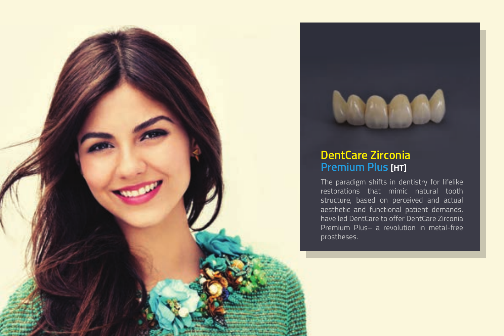



#### **DentCare Zirconia Premium Plus [HT]**

The paradigm shifts in dentistry for lifelike restorations that mimic natural tooth structure, based on perceived and actual aesthetic and functional patient demands, have led DentCare to offer DentCare Zirconia Premium Plus– a revolution in metal-free prostheses.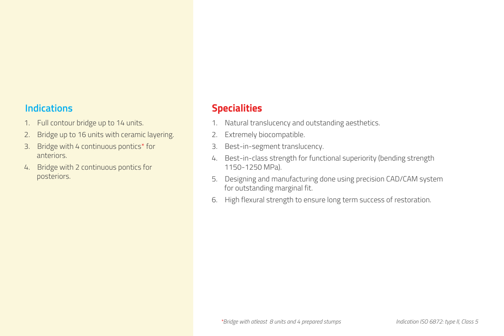- 1. Full contour bridge up to 14 units.
- 2. Bridge up to 16 units with ceramic layering.
- 3. Bridge with 4 continuous pontics\* for anteriors.
- 4. Bridge with 2 continuous pontics for posteriors.

#### **Indications Specialities**

- 1. Natural translucency and outstanding aesthetics.
- 2. Extremely biocompatible.
- 3. Best-in-segment translucency.
- 4. Best-in-class strength for functional superiority (bending strength 1150-1250 MPa).
- 5. Designing and manufacturing done using precision CAD/CAM system for outstanding marginal fit.
- 6. High flexural strength to ensure long term success of restoration.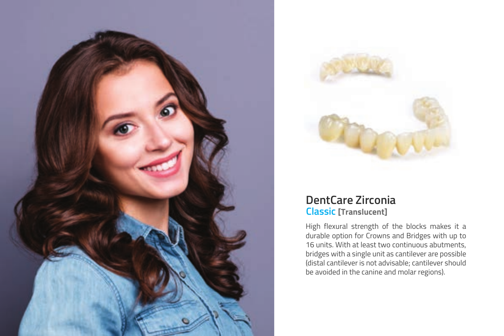



#### **DentCare Zirconia Classic [Translucent]**

High flexural strength of the blocks makes it a durable option for Crowns and Bridges with up to 16 units. With at least two continuous abutments, bridges with a single unit as cantilever are possible (distal cantilever is not advisable; cantilever should be avoided in the canine and molar regions).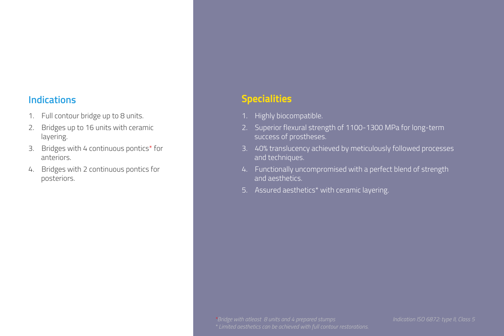- 1. Full contour bridge up to 8 units.
- 2. Bridges up to 16 units with ceramic layering.
- 3. Bridges with 4 continuous pontics\* for anteriors.
- 4. Bridges with 2 continuous pontics for posteriors.

#### **Indications Specialities**

- 1. Highly biocompatible.
- 2. Superior flexural strength of 1100-1300 MPa for long-term success of prostheses.
- 3. 40% translucency achieved by meticulously followed processes and techniques.
- 4. Functionally uncompromised with a perfect blend of strength and aesthetics.
- 5. Assured aesthetics\* with ceramic layering.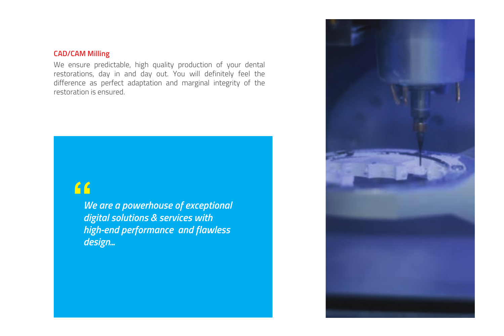#### **CAD/CAM Milling**

We ensure predictable, high quality production of your dental restorations, day in and day out. You will definitely feel the difference as perfect adaptation and marginal integrity of the restoration is ensured.

## **"**

*We are a powerhouse of exceptional digital solutions & services with high-end performance and flawless design...*

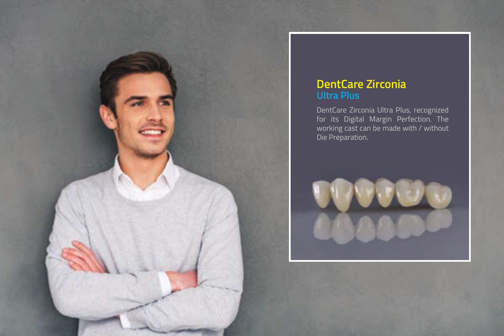

## **DentCare Zirconia**

DentCare Zirconia Ultra Plus, recognized for its Digital Margin Perfection. The working cast can be made with / without Die Preparation.

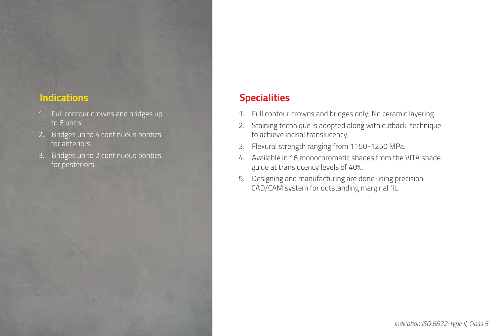- 1. Full contour crowns and bridges up to 6 units.
- 2. Bridges up to 4 continuous pontics for anteriors.
- 3. Bridges up to 2 continuous pontics for posteriors.

### **Indications Specialities**

- 1. Full contour crowns and bridges only; No ceramic layering
- 2. Staining technique is adopted along with cutback-technique to achieve incisal translucency.
- 3. Flexural strength ranging from 1150-1250 MPa.
- 4. Available in 16 monochromatic shades from the VITA shade guide at translucency levels of 40%.
- 5. Designing and manufacturing are done using precision CAD/CAM system for outstanding marginal fit.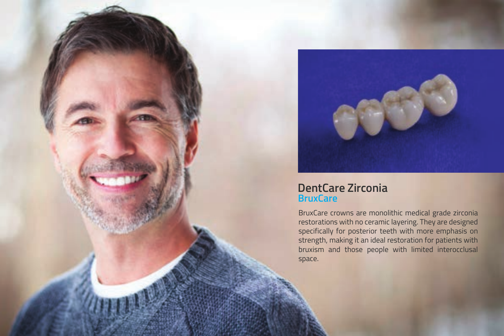

#### **DentCare Zirconia BruxCare**

BruxCare crowns are monolithic medical grade zirconia restorations with no ceramic layering. They are designed specifically for posterior teeth with more emphasis on strength, making it an ideal restoration for patients with bruxism and those people with limited interocclusal space.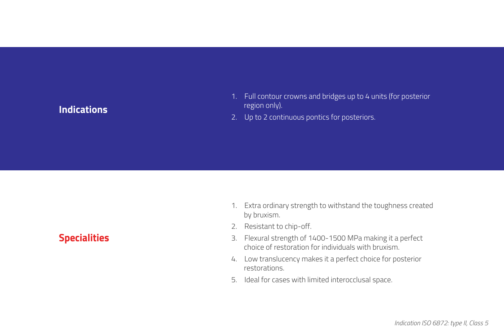#### **Indications**

- 1. Full contour crowns and bridges up to 4 units (for posterior region only).
- 2. Up to 2 continuous pontics for posteriors.

**Specialities**

- 1. Extra ordinary strength to withstand the toughness created by bruxism.
- 2. Resistant to chip-off.
- 3. Flexural strength of 1400-1500 MPa making it a perfect choice of restoration for individuals with bruxism.
- 4. Low translucency makes it a perfect choice for posterior restorations.
- 5. Ideal for cases with limited interocclusal space.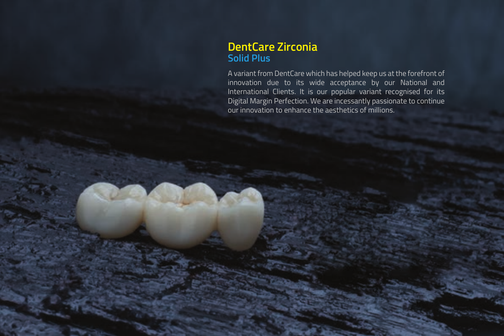#### **DentCare Zirconia Solid Plus**

A variant from DentCare which has helped keep us at the forefront of innovation due to its wide acceptance by our National and International Clients. It is our popular variant recognised for its Digital Margin Perfection. We are incessantly passionate to continue our innovation to enhance the aesthetics of millions.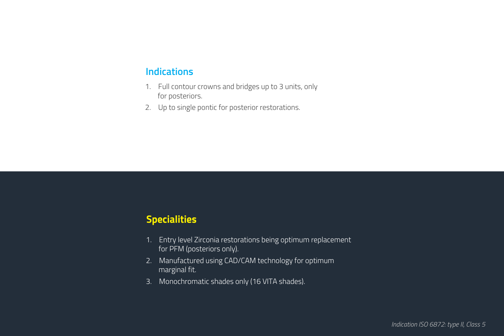#### **Indications**

- 1. Full contour crowns and bridges up to 3 units, only for posteriors.
- 2. Up to single pontic for posterior restorations.

#### **Specialities**

- 1. Entry level Zirconia restorations being optimum replacement for PFM (posteriors only).
- 2. Manufactured using CAD/CAM technology for optimum marginal fit.
- 3. Monochromatic shades only (16 VITA shades).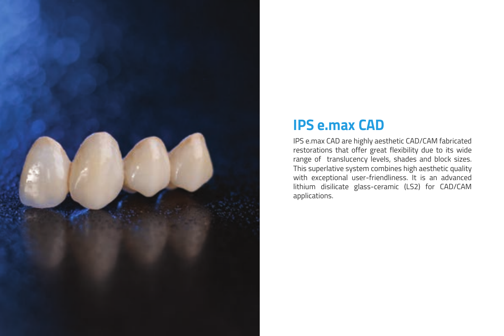

## **IPS e.max CAD**

IPS e.max CAD are highly aesthetic CAD/CAM fabricated restorations that offer great flexibility due to its wide range of translucency levels, shades and block sizes. This superlative system combines high aesthetic quality with exceptional user-friendliness. It is an advanced lithium disilicate glass-ceramic (LS2) for CAD/CAM applications.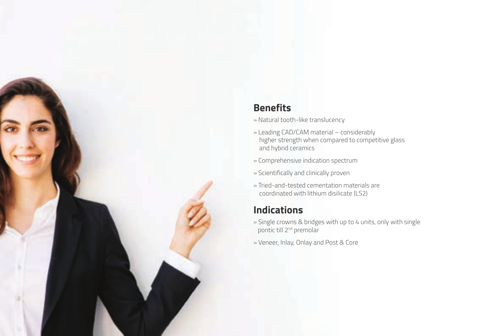### **Benefits**

- » Natural tooth-like translucency
- » Leading CAD/CAM material considerably higher strength when compared to competitive glass and hybrid ceramics
- » Comprehensive indication spectrum
- » Scientifically and clinically proven
- » Tried-and-tested cementation materials are coordinated with lithium disilicate (LS2)

#### **Indications**

- » Single crowns & bridges with up to 4 units, only with single pontic till 2nd premolar
- » Veneer, Inlay, Onlay and Post & Core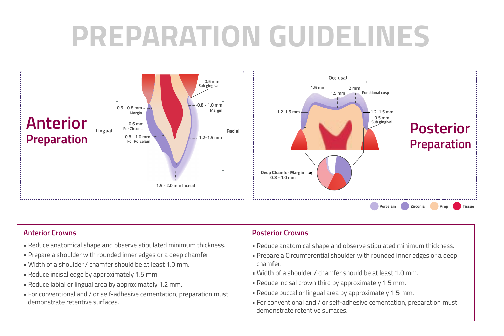# **PREPARATION GUIDELINES**



- Reduce anatomical shape and observe stipulated minimum thickness.
- Prepare a shoulder with rounded inner edges or a deep chamfer.
- Width of a shoulder / chamfer should be at least 1.0 mm.
- Reduce incisal edge by approximately 1.5 mm.
- Reduce labial or lingual area by approximately 1.2 mm.
- For conventional and / or self-adhesive cementation, preparation must demonstrate retentive surfaces.

#### **Anterior Crowns Posterior Crowns**

- Reduce anatomical shape and observe stipulated minimum thickness.
- Prepare a Circumferential shoulder with rounded inner edges or a deep chamfer.
- Width of a shoulder / chamfer should be at least 1.0 mm.
- Reduce incisal crown third by approximately 1.5 mm.
- Reduce buccal or lingual area by approximately 1.5 mm.
- For conventional and / or self-adhesive cementation, preparation must demonstrate retentive surfaces.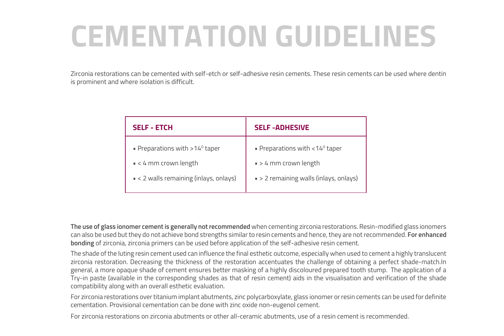# **CEMENTATION GUIDELINES**

Zirconia restorations can be cemented with self-etch or self-adhesive resin cements. These resin cements can be used where dentin is prominent and where isolation is difficult.

| <b>SELF - ETCH</b>                                 | <b>SELF-ADHESIVE</b>                                 |
|----------------------------------------------------|------------------------------------------------------|
| <b>Preparations with &gt; 14<sup>0</sup> taper</b> | <b>• Preparations with &lt; 14<sup>°</sup> taper</b> |
| $\leq 4$ mm crown length                           | $\bullet$ > 4 mm crown length                        |
| $\sim$ < 2 walls remaining (inlays, onlays)        | • > 2 remaining walls (inlays, onlays)               |
|                                                    |                                                      |

**The use of glass ionomer cement is generally not recommended** when cementing zirconia restorations. Resin-modified glass ionomers can also be used but they do not achieve bond strengths similar to resin cements and hence, they are not recommended. **For enhanced bonding** of zirconia, zirconia primers can be used before application of the self-adhesive resin cement.

The shade of the luting resin cement used can influence the final esthetic outcome, especially when used to cement a highly translucent zirconia restoration. Decreasing the thickness of the restoration accentuates the challenge of obtaining a perfect shade-match.In general, a more opaque shade of cement ensures better masking of a highly discoloured prepared tooth stump. The application of a Try-in paste (available in the corresponding shades as that of resin cement) aids in the visualisation and verification of the shade compatibility along with an overall esthetic evaluation.

For zirconia restorations over titanium implant abutments, zinc polycarboxylate, glass ionomer or resin cements can be used for definite cementation. Provisional cementation can be done with zinc oxide non-eugenol cement.

For zirconia restorations on zirconia abutments or other all-ceramic abutments, use of a resin cement is recommended.